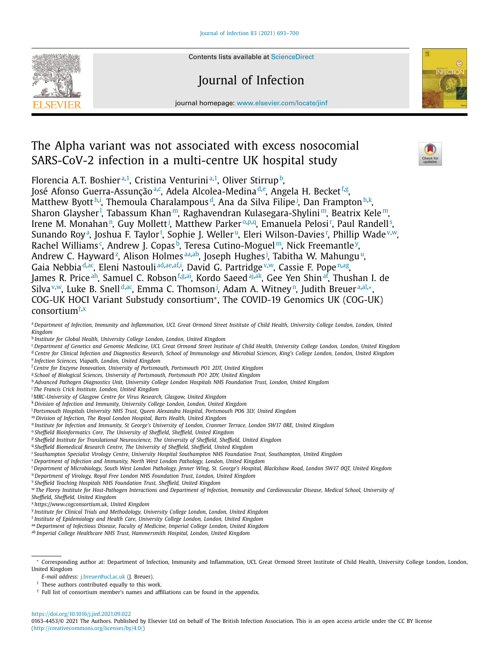Contents lists available at [ScienceDirect](http://www.ScienceDirect.com)

# Journal of Infection

journal homepage: [www.elsevier.com/locate/jinf](http://www.elsevier.com/locate/jinf)

# The Alpha variant was not associated with excess nosocomial SARS-CoV-2 infection in a multi-centre UK hospital study

Florencia A.T. Boshier<sup>a,1</sup>, Cristina Venturini<sup>a,1</sup>, Oliver Stirrup<sup>b</sup>,

José Afonso Guerra-Assunçãoª<sup>, c</sup>, Adela Alcolea-Medina<sup>d,e</sup>, Angela H. Becket<sup>f,g</sup>, Matthew Byott<sup>h,i</sup>, Themoula Charalampous'<sup>d</sup>, Ana da Silva Filipe<sup>j</sup>, Dan Frampton<sup>h,k</sup>, Sharon Glaysher<sup>!</sup>, Tabassum Khan™, Raghavendran Kulasegara-Shylini™, Beatrix Kele™, Irene M. Monahan<sup>n</sup>, Guy Mollett<sup>j</sup>, Matthew Parker<sup>0,p,q</sup>, Emanuela Pelosi<sup>r</sup>, Paul Randell<sup>s</sup>, Sunando Roy<sup>a</sup>, Joshua F. Taylor<sup>t</sup>, Sophie J. Weller<sup>u</sup>, Eleri Wilson-Davies<sup>r</sup>, Phillip Wade<sup>v,w</sup>, Rachel Williams¢, Andrew J. Copasb, Teresa Cutino-Moguel™, Nick Freemantle<sup>y</sup>, Andrew C. Hayward<sup>z</sup>, Alison Holmes<sup>aa,ab</sup>, Joseph Hughes<sup>j</sup>, Tabitha W. Mahungu<sup>u</sup>, Gaia Nebbia<sup>d,ac</sup>, Eleni Nastouli<sup>[ad,ae,af,i](#page-1-0)</sup>, David G. Partridge <sup>v,w</sup>, Cassie F. Pope <sup>n,ag</sup>, James R. Price<sup>ah</sup>, Samuel C. Robson<sup>f,g,ai</sup>, Kordo Saeed<sup>aj,ak</sup>, Gee Yen Shin<sup>af</sup>, Thushan I. de Silva™, Luke B. Snell<sup>d,ac</sup>, Emma C. Thomson<sup>j</sup>, Adam A. Witney<sup>n</sup>, Judith Breuer<sup>a[,al,](#page-1-0)</sup>\*, COG-UK HOCI Variant Substudy consortium∗, The COVID-19 Genomics UK (COG-UK) consortium†,x

- a Department of Infection, Immunity and Inflammation, UCL Great Ormond Street Institute of Child Health, University College London, London, United *Kingdom*
- <sup>b</sup> *Institute for Global Health, University College London, London, United Kingdom*
- <sup>c</sup> Department of Genetics and Genomic Medicine, UCL Great Ormond Street Institute of Child Health, University College London, London, United Kingdom <sup>d</sup> Centre for Clinical Infection and Diagnostics Research. School of Immunology and Microbial Sciences. King's College London. London. United Kingdom
- <sup>e</sup> *Infection Sciences, Viapath, London, United Kingdom*
- <sup>f</sup> *Centre for Enzyme Innovation, University of Portsmouth, Portsmouth PO1 2DT, United Kingdom*
- <sup>g</sup> *School of Biological Sciences, University of Portsmouth, Portsmouth PO1 2DY, United Kingdom*
- <sup>h</sup> *Advanced Pathogen Diagnostics Unit, University College London Hospitals NHS Foundation Trust, London, United Kingdom*
- <sup>i</sup> *The Francis Crick Institute, London, United Kingdom*
- <sup>j</sup> *MRC-University of Glasgow Centre for Virus Research, Glasgow, United Kingdom*
- <sup>k</sup> *Division of Infection and Immunity, University College London, London, United Kingdom*
- <sup>l</sup> *Portsmouth Hospitals University NHS Trust, Queen Alexandra Hospital, Portsmouth PO6 3LY, United Kingdom*
- <sup>m</sup> *Division of Infection, The Royal London Hospital, Barts Health, United Kingdom*
- n Institute for Infection and Immunity, St George's University of London, Cranmer Terrace, London SW17 ORE, United Kingdom
- <sup>o</sup> *Sheffield Bioinformatics Core, The University of Sheffield, Sheffield, United Kingdom*
- <sup>p</sup> *Sheffield Institute for Translational Neuroscience, The University of Sheffield, Sheffield, United Kingdom*
- <sup>q</sup> *Sheffield Biomedical Research Centre, The University of Sheffield, Sheffield, United Kingdom*
- <sup>r</sup> *Southampton Specialist Virology Centre, University Hospital Southampton NHS Foundation Trust, Southampton, United Kingdom*
- <sup>s</sup> *Department of Infection and Immunity, North West London Pathology, London, United Kingdom*
- <sup>t</sup> Department of Microbiology, South West London Pathology, Jenner Wing, St. George's Hospital, Blackshaw Road, London SW17 0QT, United Kingdom
- <sup>u</sup> *Department of Virology, Royal Free London NHS Foundation Trust, London, United Kingdom*
- <sup>v</sup> *Sheffield Teaching Hospitals NHS Foundation Trust, Sheffield, United Kingdom*
- <sup>w</sup> The Florey Institute for Host-Pathogen Interactions and Department of Infection, Immunity and Cardiovascular Disease, Medical School, University of
- *Sheffield, Sheffield, United Kingdom*
- <sup>x</sup> *https://www.cogconsortium.uk, United Kingdom*
- <sup>y</sup> *Institute for Clinical Trials and Methodology, University College London, London, United Kingdom*
- <sup>z</sup> *Institute of Epidemiology and Health Care, University College London, London, United Kingdom*
- aa *Department of Infectious Disease, Faculty of Medicine, Imperial College London, United Kingdom*
- ab *Imperial College Healthcare NHS Trust, Hammersmith Hospital, London, United Kingdom*

† Full list of consortium member's names and affiliations can be found in the appendix.

<https://doi.org/10.1016/j.jinf.2021.09.022>



e

<sup>∗</sup> Corresponding author at: Department of Infection, Immunity and Inflammation, UCL Great Ormond Street Institute of Child Health, University College London, London, United Kingdom

*E-mail address:* [j.breuer@ucl.ac.uk](mailto:j.breuer@ucl.ac.uk) (J. Breuer).

 $<sup>1</sup>$  These authors contributed equally to this work.</sup>

<sup>0163-4453/© 2021</sup> The Authors. Published by Elsevier Ltd on behalf of The British Infection Association. This is an open access article under the CC BY license [\(http://creativecommons.org/licenses/by/4.0/\)](http://creativecommons.org/licenses/by/4.0/)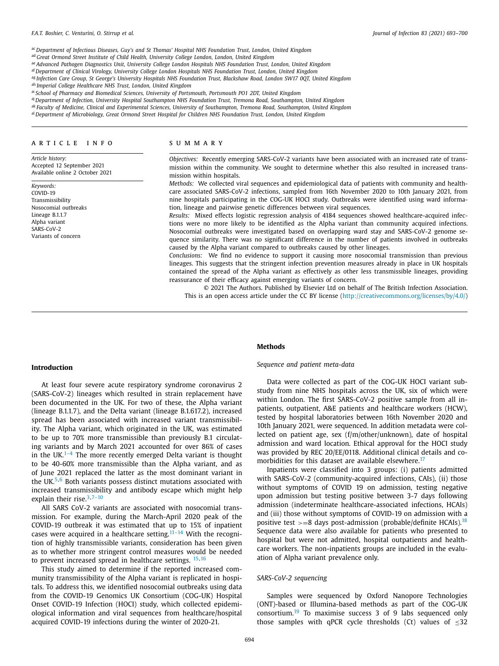<span id="page-1-0"></span>ac *Department of Infectious Diseases, Guy's and St Thomas' Hospital NHS Foundation Trust, London, United Kingdom*

ad *Great Ormond Street Institute of Child Health, University College London, London, United Kingdom*

- ae *Advanced Pathogen Diagnostics Unit, University College London Hospitals NHS Foundation Trust, London, United Kingdom*
- af *Department of Clinical Virology, University College London Hospitals NHS Foundation Trust, London, United Kingdom*
- as Infection Care Group, St George's University Hospitals NHS Foundation Trust, Blackshaw Road, London SW17 0QT, United Kingdom

ah *Imperial College Healthcare NHS Trust, London, United Kingdom*

- ai *School of Pharmacy and Biomedical Sciences, University of Portsmouth, Portsmouth PO1 2DT, United Kingdom*
- aj *Department of Infection, University Hospital Southampton NHS Foundation Trust, Tremona Road, Southampton, United Kingdom*
- ak Faculty of Medicine, Clinical and Experimental Sciences, University of Southampton, Tremona Road, Southampton, United Kingdom
- al *Department of Microbiology, Great Ormond Street Hospital for Children NHS Foundation Trust, London, United Kingdom*

#### a r t i c l e i n f o

*Article history:* Accepted 12 September 2021 Available online 2 October 2021

*Keywords:* COVID-19 Transmissibility Nosocomial outbreaks Lineage B.1.1.7 Alpha variant SARS-CoV-2 Variants of concern

# s u m m a r y

*Objectives:* Recently emerging SARS-CoV-2 variants have been associated with an increased rate of transmission within the community. We sought to determine whether this also resulted in increased transmission within hospitals.

*Methods:* We collected viral sequences and epidemiological data of patients with community and healthcare associated SARS-CoV-2 infections, sampled from 16th November 2020 to 10th January 2021, from nine hospitals participating in the COG-UK HOCI study. Outbreaks were identified using ward information, lineage and pairwise genetic differences between viral sequences.

*Results:* Mixed effects logistic regression analysis of 4184 sequences showed healthcare-acquired infections were no more likely to be identified as the Alpha variant than community acquired infections. Nosocomial outbreaks were investigated based on overlapping ward stay and SARS-CoV-2 genome sequence similarity. There was no significant difference in the number of patients involved in outbreaks caused by the Alpha variant compared to outbreaks caused by other lineages.

*Conclusions:* We find no evidence to support it causing more nosocomial transmission than previous lineages. This suggests that the stringent infection prevention measures already in place in UK hospitals contained the spread of the Alpha variant as effectively as other less transmissible lineages, providing reassurance of their efficacy against emerging variants of concern.

© 2021 The Authors. Published by Elsevier Ltd on behalf of The British Infection Association. This is an open access article under the CC BY license [\(http://creativecommons.org/licenses/by/4.0/\)](http://creativecommons.org/licenses/by/4.0/)

## **Introduction**

At least four severe acute respiratory syndrome coronavirus 2 (SARS-CoV-2) lineages which resulted in strain replacement have been documented in the UK. For two of these, the Alpha variant (lineage B.1.1.7), and the Delta variant (lineage B.1.617.2), increased spread has been associated with increased variant transmissibility. The Alpha variant, which originated in the UK, was estimated to be up to 70% more transmissible than previously B.1 circulating variants and by March 2021 accounted for over 86% of cases in the UK. $1-4$  The more recently emerged Delta variant is thought to be 40-60% more transmissible than the Alpha variant, and as of June 2021 replaced the latter as the most dominant variant in the UK.<sup>[5,6](#page-6-0)</sup> Both variants possess distinct mutations associated with increased transmissibility and antibody escape which might help explain their rise. $3,7-10$ 

All SARS CoV-2 variants are associated with nosocomial transmission. For example, during the March-April 2020 peak of the COVID-19 outbreak it was estimated that up to 15% of inpatient cases were acquired in a healthcare setting.<sup>[11–14](#page-6-0)</sup> With the recognition of highly transmissible variants, consideration has been given as to whether more stringent control measures would be needed to prevent increased spread in healthcare settings. [15,16](#page-6-0)

This study aimed to determine if the reported increased community transmissibility of the Alpha variant is replicated in hospitals. To address this, we identified nosocomial outbreaks using data from the COVID-19 Genomics UK Consortium (COG-UK) Hospital Onset COVID-19 Infection (HOCI) study, which collected epidemiological information and viral sequences from healthcare/hospital acquired COVID-19 infections during the winter of 2020-21.

#### **Methods**

# *Sequence and patient meta-data*

Data were collected as part of the COG-UK HOCI variant substudy from nine NHS hospitals across the UK, six of which were within London. The first SARS-CoV-2 positive sample from all inpatients, outpatient, A&E patients and healthcare workers (HCW), tested by hospital laboratories between 16th November 2020 and 10th January 2021, were sequenced. In addition metadata were collected on patient age, sex (f/m/other/unknown), date of hospital admission and ward location. Ethical approval for the HOCI study was provided by REC 20/EE/0118. Additional clinical details and comorbidities for this dataset are available elsewhere. $17$ 

Inpatients were classified into 3 groups: (i) patients admitted with SARS-CoV-2 (community-acquired infections, CAIs), (ii) those without symptoms of COVID 19 on admission, testing negative upon admission but testing positive between 3-7 days following admission (indeterminate healthcare-associated infections, HCAIs) and (iii) those without symptoms of COVID-19 on admission with a positive test <sup>&</sup>gt;=<sup>8</sup> days post-admission (probable/definite HCAIs).[18](#page-6-0) Sequence data were also available for patients who presented to hospital but were not admitted, hospital outpatients and healthcare workers. The non-inpatients groups are included in the evaluation of Alpha variant prevalence only.

### *SARS-CoV-2 sequencing*

Samples were sequenced by Oxford Nanopore Technologies (ONT)-based or Illumina-based methods as part of the COG-UK consortium.[19](#page-6-0) To maximise success 3 of 9 labs sequenced only those samples with qPCR cycle thresholds (Ct) values of  $\leq 32$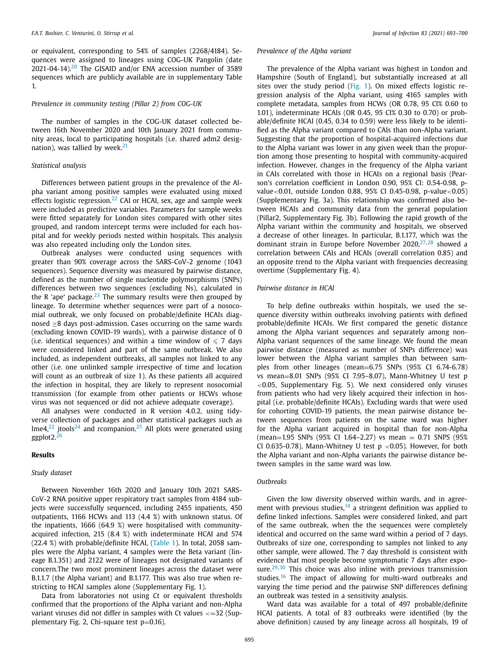or equivalent, corresponding to 54% of samples (2268/4184). Sequences were assigned to lineages using COG-UK Pangolin (date [20](#page-6-0)21-04-14).<sup>20</sup> The GISAID and/or ENA accession number of 3589 sequences which are publicly available are in supplementary Table 1.

# *Prevalence in community testing (Pillar 2) from COG-UK*

The number of samples in the COG-UK dataset collected between 16th November 2020 and 10th January 2021 from community areas, local to participating hospitals (i.e. shared adm2 designation), was tallied by week. $21$ 

# *Statistical analysis*

Differences between patient groups in the prevalence of the Alpha variant among positive samples were evaluated using mixed effects logistic regression.<sup>[22](#page-6-0)</sup> CAI or HCAI, sex, age and sample week were included as predictive variables. Parameters for sample weeks were fitted separately for London sites compared with other sites grouped, and random intercept terms were included for each hospital and for weekly periods nested within hospitals. This analysis was also repeated including only the London sites.

Outbreak analyses were conducted using sequences with greater than 90% coverage across the SARS-CoV-2 genome (1043 sequences). Sequence diversity was measured by pairwise distance, defined as the number of single nucleotide polymorphisms (SNPs) differences between two sequences (excluding Ns), calculated in the R 'ape' package.<sup>[23](#page-6-0)</sup> The summary results were then grouped by lineage. To determine whether sequences were part of a nosocomial outbreak, we only focused on probable/definite HCAIs diagnosed ≥8 days post-admission. Cases occurring on the same wards (excluding known COVID-19 wards), with a pairwise distance of 0 (i.e. identical sequences) and within a time window of  $\leqslant$  7 days were considered linked and part of the same outbreak. We also included, as independent outbreaks, all samples not linked to any other (i.e. one unlinked sample irrespective of time and location will count as an outbreak of size 1). As these patients all acquired the infection in hospital, they are likely to represent nosocomial transmission (for example from other patients or HCWs whose virus was not sequenced or did not achieve adequate coverage).

All analyses were conducted in R version 4.0.2, using tidyverse collection of packages and other statistical packages such as  $Ime4<sub>1</sub><sup>22</sup>$  $Ime4<sub>1</sub><sup>22</sup>$  $Ime4<sub>1</sub><sup>22</sup>$  jtools<sup>[24](#page-6-0)</sup> and rcompanion.<sup>[25](#page-6-0)</sup> All plots were generated using ggplot2.[26](#page-6-0)

# **Results**

## *Study dataset*

Between November 16th 2020 and January 10th 2021 SARS-CoV-2 RNA positive upper respiratory tract samples from 4184 subjects were successfully sequenced, including 2455 inpatients, 450 outpatients, 1166 HCWs and 113 (4.4 %) with unknown status. Of the inpatients, 1666 (64.9 %) were hospitalised with communityacquired infection, 215 (8.4 %) with indeterminate HCAI and 574 (22.4 %) with probable/definite HCAI, [\(Table](#page-3-0) 1). In total, 2058 samples were the Alpha variant, 4 samples were the Beta variant (lineage B.1.351) and 2122 were of lineages not designated variants of concern.The two most prominent lineages across the dataset were B.1.1.7 (the Alpha variant) and B.1.177. This was also true when restricting to HCAI samples alone (Supplementary Fig. 1).

Data from laboratories not using Ct or equivalent thresholds confirmed that the proportions of the Alpha variant and non-Alpha variant viruses did not differ in samples with  $Ct$  values  $\leq$  = 32 (Supplementary Fig. 2, Chi-square test  $p=0.16$ ).

# *Prevalence of the Alpha variant*

The prevalence of the Alpha variant was highest in London and Hampshire (South of England), but substantially increased at all sites over the study period [\(Fig.](#page-4-0) 1). On mixed effects logistic regression analysis of the Alpha variant, using 4165 samples with complete metadata, samples from HCWs (OR 0.78, 95 CI% 0.60 to 1.01), indeterminate HCAIs (OR 0.45, 95 CI% 0.30 to 0.70) or probable/definite HCAI (0.45, 0.34 to 0.59) were less likely to be identified as the Alpha variant compared to CAIs than non-Alpha variant. Suggesting that the proportion of hospital-acquired infections due to the Alpha variant was lower in any given week than the proportion among those presenting to hospital with community-acquired infection. However, changes in the frequency of the Alpha variant in CAIs correlated with those in HCAIs on a regional basis (Pearson's correlation coefficient in London 0.90, 95% CI: 0.54-0.98, pvalue<0.01, outside London 0.88, 95% CI 0.45-0.98, p-value<0.05) (Supplementary Fig. 3a). This relationship was confirmed also between HCAIs and community data from the general population (Pillar2, Supplementary Fig. 3b). Following the rapid growth of the Alpha variant within the community and hospitals, we observed a decrease of other lineages. In particular, B.1.177, which was the dominant strain in Europe before November  $2020$ ,  $27,28$  showed a correlation between CAIs and HCAIs (overall correlation 0.85) and an opposite trend to the Alpha variant with frequencies decreasing overtime (Supplementary Fig. 4).

# *Pairwise distance in HCAI*

To help define outbreaks within hospitals, we used the sequence diversity within outbreaks involving patients with defined probable/definite HCAIs. We first compared the genetic distance among the Alpha variant sequences and separately among non-Alpha variant sequences of the same lineage. We found the mean pairwise distance (measured as number of SNPs difference) was lower between the Alpha variant samples than between samples from other lineages (mean=6.75 SNPs (95% CI 6.74-6.78) vs mean=8.01 SNPs (95% CI 7.95–8.07), Mann-Whitney U test p  $<$ 0.05, Supplementary Fig. 5). We next considered only viruses from patients who had very likely acquired their infection in hospital (i.e. probable/definite HCAIs). Excluding wards that were used for cohorting COVID-19 patients, the mean pairwise distance between sequences from patients on the same ward was higher for the Alpha variant acquired in hospital than for non-Alpha (mean=1.95 SNPs (95% CI 1.64-2.27) vs mean = 0.71 SNPS (95% CI 0.635-0.78). Mann-Whitney U test  $p \le 0.05$ ). However, for both the Alpha variant and non-Alpha variants the pairwise distance between samples in the same ward was low.

# *Outbreaks*

Given the low diversity observed within wards, and in agreement with previous studies,  $14$  a stringent definition was applied to define linked infections. Samples were considered linked, and part of the same outbreak, when the the sequences were completely identical and occurred on the same ward within a period of 7 days. Outbreaks of size one, corresponding to samples not linked to any other sample, were allowed. The 7 day threshold is consistent with evidence that most people become symptomatic 7 days after exposure. $29,30$  This choice was also inline with previous transmission studies.<sup>[16](#page-6-0)</sup> The impact of allowing for multi-ward outbreaks and varying the time period and the pairwise SNP differences defining an outbreak was tested in a sensitivity analysis.

Ward data was available for a total of 497 probable/definite HCAI patients. A total of 83 outbreaks were identified (by the above definition) caused by any lineage across all hospitals, 19 of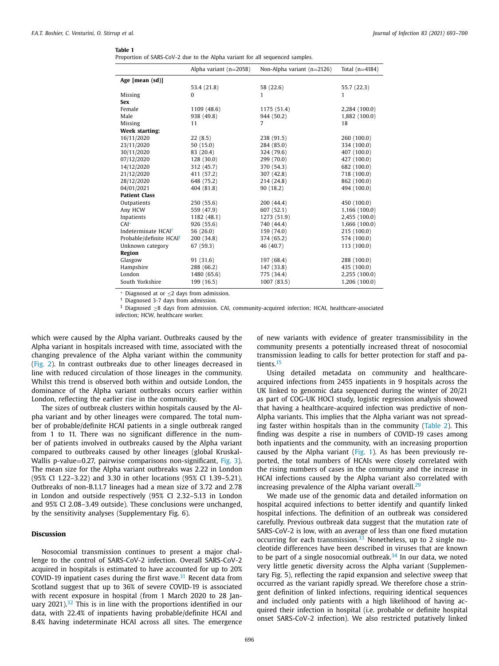<span id="page-3-0"></span>

|--|--|

Proportion of SARS-CoV-2 due to the Alpha variant for all sequenced samples.

|                                     | Alpha variant $(n=2058)$ | Non-Alpha variant $(n=2126)$ | Total $(n=4184)$ |
|-------------------------------------|--------------------------|------------------------------|------------------|
| Age [mean (sd)]                     |                          |                              |                  |
|                                     | 53.4 (21.8)              | 58 (22.6)                    | 55.7 (22.3)      |
| Missing                             | $\Omega$                 | 1                            | 1                |
| <b>Sex</b>                          |                          |                              |                  |
| Female                              | 1109 (48.6)              | 1175 (51.4)                  | 2,284 (100.0)    |
| Male                                | 938 (49.8)               | 944 (50.2)                   | 1,882 (100.0)    |
| Missing                             | 11                       | 7                            | 18               |
| <b>Week starting:</b>               |                          |                              |                  |
| 16/11/2020                          | 22(8.5)                  | 238 (91.5)                   | 260 (100.0)      |
| 23/11/2020                          | 50 (15.0)                | 284 (85.0)                   | 334 (100.0)      |
| 30/11/2020                          | 83 (20.4)                | 324 (79.6)                   | 407 (100.0)      |
| 07/12/2020                          | 128 (30.0)               | 299 (70.0)                   | 427 (100.0)      |
| 14/12/2020                          | 312 (45.7)               | 370 (54.3)                   | 682 (100.0)      |
| 21/12/2020                          | 411 (57.2)               | 307 (42.8)                   | 718 (100.0)      |
| 28/12/2020                          | 648 (75.2)               | 214 (24.8)                   | 862 (100.0)      |
| 04/01/2021                          | 404 (81.8)               | 90 (18.2)                    | 494 (100.0)      |
| <b>Patient Class</b>                |                          |                              |                  |
| Outpatients                         | 250(55.6)                | 200 (44.4)                   | 450 (100.0)      |
| Any HCW                             | 559 (47.9)               | 607 (52.1)                   | 1,166 (100.0)    |
| Inpatients                          | 1182 (48.1)              | 1273 (51.9)                  | 2,455 (100.0)    |
| $CAI^*$                             | 926 (55.6)               | 740 (44.4)                   | 1,666 (100.0)    |
| Indeterminate HCAI <sup>†</sup>     | 56(26.0)                 | 159 (74.0)                   | 215 (100.0)      |
| Probable/definite HCAI <sup>‡</sup> | 200 (34.8)               | 374 (65.2)                   | 574 (100.0)      |
| Unknown category                    | 67 (59.3)                | 46 (40.7)                    | 113 (100.0)      |
| Region                              |                          |                              |                  |
| Glasgow                             | 91(31.6)                 | 197 (68.4)                   | 288 (100.0)      |
| Hampshire                           | 288 (66.2)               | 147 (33.8)                   | 435 (100.0)      |
| London                              | 1480 (65.6)              | 775 (34.4)                   | 2,255 (100.0)    |
| South Yorkshire                     | 199 (16.5)               | 1007 (83.5)                  | 1,206 (100.0)    |

 $∗$  Diagnosed at or  $≤$ 2 days from admission. † Diagnosed 3-7 days from admission.

‡ Diagnosed <sup>≥</sup><sup>8</sup> days from admission. CAI, community-acquired infection; HCAI, healthcare-associated infection; HCW, healthcare worker.

which were caused by the Alpha variant. Outbreaks caused by the Alpha variant in hospitals increased with time, associated with the changing prevalence of the Alpha variant within the community [\(Fig.](#page-4-0) 2). In contrast outbreaks due to other lineages decreased in line with reduced circulation of those lineages in the community. Whilst this trend is observed both within and outside London, the dominance of the Alpha variant outbreaks occurs earlier within London, reflecting the earlier rise in the community.

The sizes of outbreak clusters within hospitals caused by the Alpha variant and by other lineages were compared. The total number of probable/definite HCAI patients in a single outbreak ranged from 1 to 11. There was no significant difference in the number of patients involved in outbreaks caused by the Alpha variant compared to outbreaks caused by other lineages (global Kruskal-Wallis p-value=0.27, pairwise comparisons non-significant, [Fig.](#page-5-0) 3). The mean size for the Alpha variant outbreaks was 2.22 in London (95% CI 1.22–3.22) and 3.30 in other locations (95% CI 1.39–5.21). Outbreaks of non-B.1.1.7 lineages had a mean size of 3.72 and 2.78 in London and outside respectively (95% CI 2.32–5.13 in London and 95% CI 2.08–3.49 outside). These conclusions were unchanged, by the sensitivity analyses (Supplementary Fig. 6).

# **Discussion**

Nosocomial transmission continues to present a major challenge to the control of SARS-CoV-2 infection. Overall SARS-CoV-2 acquired in hospitals is estimated to have accounted for up to 20% COVID-19 inpatient cases during the first wave. $31$  Recent data from Scotland suggest that up to 36% of severe COVID-19 is associated with recent exposure in hospital (from 1 March 2020 to 28 January  $2021$ ).<sup>[32](#page-6-0)</sup> This is in line with the proportions identified in our data, with 22.4% of inpatients having probable/definite HCAI and 8.4% having indeterminate HCAI across all sites. The emergence of new variants with evidence of greater transmissibility in the community presents a potentially increased threat of nosocomial transmission leading to calls for better protection for staff and patients.[15](#page-6-0)

Using detailed metadata on community and healthcareacquired infections from 2455 inpatients in 9 hospitals across the UK linked to genomic data sequenced during the winter of 20/21 as part of COG-UK HOCI study, logistic regression analysis showed that having a healthcare-acquired infection was predictive of non-Alpha variants. This implies that the Alpha variant was not spreading faster within hospitals than in the community [\(Table](#page-5-0) 2). This finding was despite a rise in numbers of COVID-19 cases among both inpatients and the community, with an increasing proportion caused by the Alpha variant [\(Fig.](#page-4-0) 1). As has been previously reported, the total numbers of HCAIs were closely correlated with the rising numbers of cases in the community and the increase in HCAI infections caused by the Alpha variant also correlated with increasing prevalence of the Alpha variant overall. $^{29}$  $^{29}$  $^{29}$ 

We made use of the genomic data and detailed information on hospital acquired infections to better identify and quantify linked hospital infections. The definition of an outbreak was considered carefully. Previous outbreak data suggest that the mutation rate of SARS-CoV-2 is low, with an average of less than one fixed mutation occurring for each transmission.<sup>[33](#page-7-0)</sup> Nonetheless, up to 2 single nucleotide differences have been described in viruses that are known to be part of a single nosocomial outbreak.<sup>[34](#page-7-0)</sup> In our data, we noted very little genetic diversity across the Alpha variant (Supplementary Fig. 5), reflecting the rapid expansion and selective sweep that occurred as the variant rapidly spread. We therefore chose a stringent definition of linked infections, requiring identical sequences and included only patients with a high likelihood of having acquired their infection in hospital (i.e. probable or definite hospital onset SARS-CoV-2 infection). We also restricted putatively linked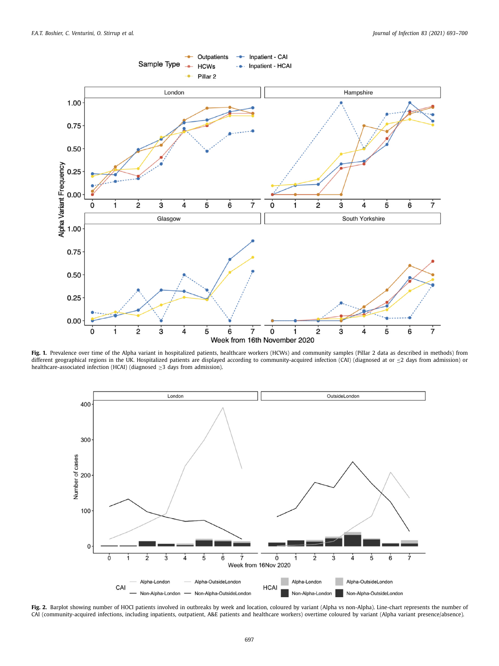<span id="page-4-0"></span>

**Fig. 1.** Prevalence over time of the Alpha variant in hospitalized patients, healthcare workers (HCWs) and community samples (Pillar 2 data as described in methods) from different geographical regions in the UK. Hospitalized patients are displayed according to community-acquired infection (CAI) (diagnosed at or ≤2 days from admission) or healthcare-associated infection (HCAI) (diagnosed ≥3 days from admission).



**Fig. 2.** Barplot showing number of HOCI patients involved in outbreaks by week and location, coloured by variant (Alpha vs non-Alpha). Line-chart represents the number of CAI (community-acquired infections, including inpatients, outpatient, A&E patients and healthcare workers) overtime coloured by variant (Alpha variant presence/absence).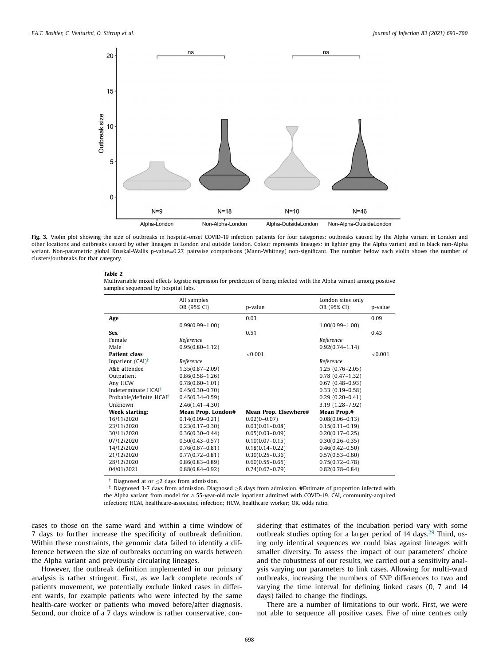<span id="page-5-0"></span>

**Fig. 3.** Violin plot showing the size of outbreaks in hospital-onset COVID-19 infection patients for four categories: outbreaks caused by the Alpha variant in London and other locations and outbreaks caused by other lineages in London and outside London. Colour represents lineages: in lighter grey the Alpha variant and in black non-Alpha variant. Non-parametric global Kruskal-Wallis p-value=0.27, pairwise comparisons (Mann-Whitney) non-significant. The number below each violin shows the number of clusters/outbreaks for that category.

#### **Table 2**

Multivariable mixed effects logistic regression for prediction of being infected with the Alpha variant among positive samples sequenced by hospital labs.

|                                     | All samples         |                       | London sites only   |         |
|-------------------------------------|---------------------|-----------------------|---------------------|---------|
|                                     | OR (95% CI)         | p-value               | OR (95% CI)         | p-value |
| Age                                 |                     | 0.03                  |                     | 0.09    |
|                                     | $0.99(0.99 - 1.00)$ |                       | $1.00(0.99 - 1.00)$ |         |
| <b>Sex</b>                          |                     | 0.51                  |                     | 0.43    |
| Female                              | Reference           |                       | Reference           |         |
| Male                                | $0.95(0.80 - 1.12)$ |                       | $0.92(0.74 - 1.14)$ |         |
| <b>Patient class</b>                |                     | ${<}0.001$            |                     | < 0.001 |
| Inpatient $(CAI)^{\dagger}$         | Reference           |                       | Reference           |         |
| A&E attendee                        | $1.35(0.87 - 2.09)$ |                       | $1.25(0.76-2.05)$   |         |
| Outpatient                          | $0.86(0.58 - 1.26)$ |                       | $0.78(0.47 - 1.32)$ |         |
| Any HCW                             | $0.78(0.60 - 1.01)$ |                       | $0.67(0.48-0.93)$   |         |
| Indeterminate HCAI <sup>‡</sup>     | $0.45(0.30 - 0.70)$ |                       | $0.33(0.19-0.58)$   |         |
| Probable/definite HCAI <sup>‡</sup> | $0.45(0.34 - 0.59)$ |                       | $0.29(0.20-0.41)$   |         |
| Unknown                             | $2.46(1.41 - 4.30)$ |                       | 3.19 (1.28-7.92)    |         |
| <b>Week starting:</b>               | Mean Prop. London#  | Mean Prop. Elsewhere# | Mean Prop.#         |         |
| 16/11/2020                          | $0.14(0.09 - 0.21)$ | $0.02(0 - 0.07)$      | $0.08(0.06 - 0.13)$ |         |
| 23/11/2020                          | $0.23(0.17-0.30)$   | $0.03(0.01 - 0.08)$   | $0.15(0.11 - 0.19)$ |         |
| 30/11/2020                          | $0.36(0.30 - 0.44)$ | $0.05(0.03 - 0.09)$   | $0.20(0.17 - 0.25)$ |         |
| 07/12/2020                          | $0.50(0.43 - 0.57)$ | $0.10(0.07 - 0.15)$   | $0.30(0.26 - 0.35)$ |         |
| 14/12/2020                          | $0.76(0.67 - 0.81)$ | $0.18(0.14 - 0.22)$   | $0.46(0.42 - 0.50)$ |         |
| 21/12/2020                          | $0.77(0.72 - 0.81)$ | $0.30(0.25 - 0.36)$   | $0.57(0.53 - 0.60)$ |         |
| 28/12/2020                          | $0.86(0.83 - 0.89)$ | $0.60(0.55 - 0.65)$   | $0.75(0.72 - 0.78)$ |         |
| 04/01/2021                          | $0.88(0.84 - 0.92)$ | $0.74(0.67 - 0.79)$   | $0.82(0.78 - 0.84)$ |         |
| $\overline{a}$ $\overline{a}$       |                     |                       |                     |         |

† Diagnosed at or ≤2 days from admission.<br>‡ Diagnosed 3-7 days from admission. Diagnosed >8 days from admission. #Estimate of proportion infected with the Alpha variant from model for a 55-year-old male inpatient admitted with COVID-19. CAI, community-acquired infection; HCAI, healthcare-associated infection; HCW, healthcare worker; OR, odds ratio.

cases to those on the same ward and within a time window of 7 days to further increase the specificity of outbreak definition. Within these constraints, the genomic data failed to identify a difference between the size of outbreaks occurring on wards between the Alpha variant and previously circulating lineages.

However, the outbreak definition implemented in our primary analysis is rather stringent. First, as we lack complete records of patients movement, we potentially exclude linked cases in different wards, for example patients who were infected by the same health-care worker or patients who moved before/after diagnosis. Second, our choice of a 7 days window is rather conservative, considering that estimates of the incubation period vary with some outbreak studies opting for a larger period of  $14$  days.<sup>[29](#page-6-0)</sup> Third, using only identical sequences we could bias against lineages with smaller diversity. To assess the impact of our parameters' choice and the robustness of our results, we carried out a sensitivity analysis varying our parameters to link cases. Allowing for multi-ward outbreaks, increasing the numbers of SNP differences to two and varying the time interval for defining linked cases (0, 7 and 14 days) failed to change the findings.

There are a number of limitations to our work. First, we were not able to sequence all positive cases. Five of nine centres only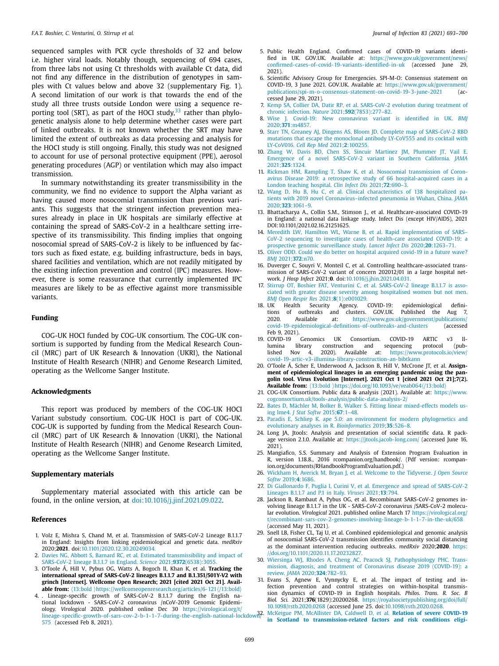<span id="page-6-0"></span>sequenced samples with PCR cycle thresholds of 32 and below i.e. higher viral loads. Notably though, sequencing of 694 cases, from three labs not using Ct thresholds with available Ct data, did not find any difference in the distribution of genotypes in samples with Ct values below and above 32 (supplementary Fig. 1). A second limitation of our work is that towards the end of the study all three trusts outside London were using a sequence reporting tool (SRT), as part of the HOCI study, $33$  rather than phylogenetic analysis alone to help determine whether cases were part of linked outbreaks. It is not known whether the SRT may have limited the extent of outbreaks as data processing and analysis for the HOCI study is still ongoing. Finally, this study was not designed to account for use of personal protective equipment (PPE), aerosol generating procedures (AGP) or ventilation which may also impact transmission.

In summary notwithstanding its greater transmissibility in the community, we find no evidence to support the Alpha variant as having caused more nosocomial transmission than previous variants. This suggests that the stringent infection prevention measures already in place in UK hospitals are similarly effective at containing the spread of SARS-CoV-2 in a healthcare setting irrespective of its transmissibility. This finding implies that ongoing nosocomial spread of SARS-CoV-2 is likely to be influenced by factors such as fixed estate, e.g. building infrastructure, beds in bays, shared facilities and ventilation, which are not readily mitigated by the existing infection prevention and control (IPC) measures. However, there is some reassurance that currently implemented IPC measures are likely to be as effective against more transmissible variants.

## **Funding**

COG-UK HOCI funded by COG-UK consortium. The COG-UK consortium is supported by funding from the Medical Research Council (MRC) part of UK Research & Innovation (UKRI), the National Institute of Health Research (NIHR) and Genome Research Limited, operating as the Wellcome Sanger Institute.

# **Acknowledgments**

This report was produced by members of the COG-UK HOCI Variant substudy consortium. COG-UK HOCI is part of COG-UK. COG-UK is supported by funding from the Medical Research Council (MRC) part of UK Research & Innovation (UKRI), the National Institute of Health Research (NIHR) and Genome Research Limited, operating as the Wellcome Sanger Institute.

### **Supplementary materials**

Supplementary material associated with this article can be found, in the online version, at [doi:10.1016/j.jinf.2021.09.022.](https://doi.org/10.1016/j.jinf.2021.09.022)

# **References**

- 1. Volz E, Mishra S, Chand M, et al. Transmission of SARS-CoV-2 Lineage B.1.1.7 in England: Insights from linking epidemiological and genetic data. *medRxiv* 2020;**2021**. doi[:10.1101/2020.12.30.20249034.](https://doi.org/10.1101/2020.12.30.20249034)
- 2. [Davies](http://refhub.elsevier.com/S0163-4453(21)00493-X/sbref0002) NG, [Abbott](http://refhub.elsevier.com/S0163-4453(21)00493-X/sbref0002) S, [Barnard](http://refhub.elsevier.com/S0163-4453(21)00493-X/sbref0002) RC, et [al.](http://refhub.elsevier.com/S0163-4453(21)00493-X/sbref0002) Estimated [transmissibility](http://refhub.elsevier.com/S0163-4453(21)00493-X/sbref0002) and impact of SARS-CoV-2 lineage B.1.1.7 in England. *Science* 2021;**9372**(6538):3055.
- 3. O'Toole Á, Hill V, Pybus OG, Watts A, Bogoch II, Khan K, et al. **Tracking the international spread of SARS-CoV-2 lineages B.1.1.7 and B.1.351/501Y-V2 with grinch [Internet]. Wellcome Open Research; 2021 [cited 2021 Oct 21]. Available from:**  $\langle 13:\text{bold}\rangle$  <https://wellcomeopenresearch.org/articles/6-121> $\langle/13:\text{bold}\rangle$
- 4. . Lineage-specific growth of SARS-CoV-2 B.1.1.7 during the English na-tional lockdown SARS-CoV-2 coronavirus /nCoV-2019 Genomic Epidemiology. *Virological* 2020. published online Dec 30 https://virological.org/t/ lineage-specific-growth-of-sars-cov-2-b-1-1-7-during-the-english-national-lockdown? 575 (accessed Feb 8, 2021).
- 5. Public Health England. Confirmed cases of COVID-19 variants identified in UK. GOV.UK. Available at: https://www.gov.uk/government/news/<br>confirmed-cases-of-covid-19-variants-identified-in-uk (accessed lune 29 [confirmed-cases-of-covid-19-variants-identified-in-uk](https://www.gov.uk/government/news/confirmed-cases-of-covid-19-variants-identified-in-uk) (accessed June 29, 2021).
- 6. Scientific Advisory Group for Emergencies. SPI-M-O: Consensus statement on COVID-19, 3 June 2021. GOV.UK. Available at: https://www.gov.uk/government/ [publications/spi-m-o-consensus-statement-on-covid-19-3-june-2021](https://www.gov.uk/government/publications/spi-m-o-consensus-statement-on-covid-19-3-june-2021) (accessed June 29, 2021).
- 7. [Kemp](http://refhub.elsevier.com/S0163-4453(21)00493-X/sbref0007) SA, [Collier](http://refhub.elsevier.com/S0163-4453(21)00493-X/sbref0007) DA, [Datir](http://refhub.elsevier.com/S0163-4453(21)00493-X/sbref0007) RP, et [al.](http://refhub.elsevier.com/S0163-4453(21)00493-X/sbref0007) SARS-CoV-2 evolution during treatment of chronic infection. *Nature* 2021;**592**[\(7853\):277–82.](http://refhub.elsevier.com/S0163-4453(21)00493-X/sbref0007)
- 8. [Wise](http://refhub.elsevier.com/S0163-4453(21)00493-X/sbref0008) J. Covid-19: New [coronavirus](http://refhub.elsevier.com/S0163-4453(21)00493-X/sbref0008) variant is identified in UK. *BMJ* 2020;**371**:m4857.
- 9. [Starr](http://refhub.elsevier.com/S0163-4453(21)00493-X/sbref0009) TN, [Greaney](http://refhub.elsevier.com/S0163-4453(21)00493-X/sbref0009) AJ, [Dingens](http://refhub.elsevier.com/S0163-4453(21)00493-X/sbref0009) AS, [Bloom](http://refhub.elsevier.com/S0163-4453(21)00493-X/sbref0009) JD. Complete map of [SARS-CoV-2](http://refhub.elsevier.com/S0163-4453(21)00493-X/sbref0009) RBD mutations that escape the monoclonal antibody LY-CoV555 and its cocktail with LY-CoV016. *Cell Rep Med* 2021;**2**:100255.
- 10. [Zhang](http://refhub.elsevier.com/S0163-4453(21)00493-X/sbref0010) W, [Davis](http://refhub.elsevier.com/S0163-4453(21)00493-X/sbref0010) BD, [Chen](http://refhub.elsevier.com/S0163-4453(21)00493-X/sbref0010) SS, Sincuir [Martinez](http://refhub.elsevier.com/S0163-4453(21)00493-X/sbref0010) JM, [Plummer](http://refhub.elsevier.com/S0163-4453(21)00493-X/sbref0010) JT, [Vail](http://refhub.elsevier.com/S0163-4453(21)00493-X/sbref0010) E. Emergence of a novel [SARS-CoV-2](http://refhub.elsevier.com/S0163-4453(21)00493-X/sbref0010) variant in Southern California. *JAMA* 2021;**325**:1324.
- 11. [Rickman](http://refhub.elsevier.com/S0163-4453(21)00493-X/sbref0011) HM, [Rampling](http://refhub.elsevier.com/S0163-4453(21)00493-X/sbref0011) T, [Shaw](http://refhub.elsevier.com/S0163-4453(21)00493-X/sbref0011) K, et [al.](http://refhub.elsevier.com/S0163-4453(21)00493-X/sbref0011) Nosocomial transmission of Coronavirus Disease 2019: a retrospective study of 66 [hospital-acquired](http://refhub.elsevier.com/S0163-4453(21)00493-X/sbref0011) cases in a London teaching hospital. *Clin Infect Dis* 2021;**72**:690–3.
- 12. [Wang](http://refhub.elsevier.com/S0163-4453(21)00493-X/sbref0012) D, [Hu](http://refhub.elsevier.com/S0163-4453(21)00493-X/sbref0012) B, [Hu](http://refhub.elsevier.com/S0163-4453(21)00493-X/sbref0012) C, et [al.](http://refhub.elsevier.com/S0163-4453(21)00493-X/sbref0012) Clinical characteristics of 138 hospitalized patients with 2019 novel [Coronavirus–infected](http://refhub.elsevier.com/S0163-4453(21)00493-X/sbref0012) pneumonia in Wuhan, China. *JAMA* 2020;**323**:1061–9.
- 13. Bhattacharya A., Collin S.M., Stimson J., et al. Healthcare-associated COVID-19 in England: a national data linkage study. Infect Dis (except HIV/AIDS), 2021 DOI:10.1101/2021.02.16.21251625.
- 14. [Meredith](http://refhub.elsevier.com/S0163-4453(21)00493-X/sbref0014) LW, [Hamilton](http://refhub.elsevier.com/S0163-4453(21)00493-X/sbref0014) WL, [Warne](http://refhub.elsevier.com/S0163-4453(21)00493-X/sbref0014) B, et [al.](http://refhub.elsevier.com/S0163-4453(21)00493-X/sbref0014) Rapid [implementation](http://refhub.elsevier.com/S0163-4453(21)00493-X/sbref0014) of SARS– CoV-2 sequencing to investigate cases of health-care associated COVID-19: a prospective genomic surveillance study. *Lancet Infect Dis* 2020;**20**:1263–71.
- 15. [Oliver](http://refhub.elsevier.com/S0163-4453(21)00493-X/sbref0015) ODD. Could we do better on hospital [acquired](http://refhub.elsevier.com/S0163-4453(21)00493-X/sbref0015) covid-19 in a future wave? *BMJ* 2021;**372**:n70.
- 16. Duverger C, Souyri V, Monteil C, et al. Controlling healthcare-associated transmission of SARS-CoV-2 variant of concern 202012/01 in a large hospital network. *J Hosp Infect* 2021;**0**. doi[:10.1016/j.jhin.2021.04.031.](https://doi.org/10.1016/j.jhin.2021.04.031)
- 17. [Stirrup](http://refhub.elsevier.com/S0163-4453(21)00493-X/sbref0017) OT, [Boshier](http://refhub.elsevier.com/S0163-4453(21)00493-X/sbref0017) FAT, [Venturini](http://refhub.elsevier.com/S0163-4453(21)00493-X/sbref0017) C, et [al.](http://refhub.elsevier.com/S0163-4453(21)00493-X/sbref0017) SARS-CoV-2 lineage B.1.1.7 is associated with greater disease severity among hospitalised women but not men. *BMJ Open Respir Res* 2021;**8**[\(1\):e001029.](http://refhub.elsevier.com/S0163-4453(21)00493-X/sbref0017)
- )<br>18. Agency. COVID-19: epidemiological defini-<br>19. december definition definition definition tions of outbreaks and clusters. GOV.UK. Published the 2020. Available at:  $\frac{h}{h}$  https://www.gov.uk/government/nu 2020. Available at: https://www.gov.uk/government/publications/ [covid-19-epidemiological-definitions-of-outbreaks-and-clusters](https://www.gov.uk/government/publications/covid-19-epidemiological-definitions-of-outbreaks-and-clusters) (accessed
- Feb 9, 2021).<br>19. COVID-19 19. COVID-19 Genomics UK Consortium. COVID-19 ARTIC v3 Illumina library construction and sequencing protocol (published Nov 4, 2020). Available at: https://www.protocols.io/view/ [covid-19-artic-v3-illumina-library-construction-an-bibtkann](https://www.protocols.io/view/covid-19-artic-v3-illumina-library-construction-an-bibtkann)
- 20. O'Toole Á, Scher E, Underwood A, Jackson B, Hill V, McCrone JT, et al. **Assignment of epidemiological lineages in an emerging pandemic using the pangolin tool. Virus Evolution [Internet]. 2021 Oct 1 [cited 2021 Oct 21];7(2). Available from:**  $\langle 13: \text{bold} \rangle$  <https://doi.org/10.1093/ve/veab064> $\langle 13: \text{bold} \rangle$
- 21. COG-UK Consortium. Public data & analysis (2021). Available at: https://www. [cogconsortium.uk/tools-analysis/public-data-analysis-2/](https://www.cogconsortium.uk/tools-analysis/public-data-analysis-2/)
- 22. [Bates](http://refhub.elsevier.com/S0163-4453(21)00493-X/sbref0022) D, [Mächler](http://refhub.elsevier.com/S0163-4453(21)00493-X/sbref0022) M, [Bolker](http://refhub.elsevier.com/S0163-4453(21)00493-X/sbref0022) B, [Walker](http://refhub.elsevier.com/S0163-4453(21)00493-X/sbref0022) S. Fitting linear [mixed-effects](http://refhub.elsevier.com/S0163-4453(21)00493-X/sbref0022) models using lme4. *J Stat Softw* 2015;**67**:1–48.
- 23. [Paradis](http://refhub.elsevier.com/S0163-4453(21)00493-X/sbref0023) E, [Schliep](http://refhub.elsevier.com/S0163-4453(21)00493-X/sbref0023) K. ape 5.0: an environment for modern phylogenetics and evolutionary analyses in R. *[Bioinformatics](http://refhub.elsevier.com/S0163-4453(21)00493-X/sbref0023)* 2019;**35**:526–8.
- 24. Long JA, Jtools: Analysis and presentation of social scientific data. R package version 2.1.0. Available at: <https://jtools.jacob-long.com/> (accessed June 16, 2021).
- 25. Mangiafico, S.S. Summary and Analysis of Extension Program Evaluation in R, version 1.18.8., 2016 rcompanion.org/handbook/. (Pdf version: rcompan[ion.org/documents/RHandbookProgramEvaluation.pdf.\)](http://refhub.elsevier.com/S0163-4453(21)00493-X/sbref0026)
- 26. [Wickham](http://refhub.elsevier.com/S0163-4453(21)00493-X/sbref0026) H, [Averick](http://refhub.elsevier.com/S0163-4453(21)00493-X/sbref0026) M, [Bryan](http://refhub.elsevier.com/S0163-4453(21)00493-X/sbref0026) J, et [al.](http://refhub.elsevier.com/S0163-4453(21)00493-X/sbref0026) Welcome to the Tidyverse. *J Open Source Softw* 2019;**4**:1686.
- 27. Di [Giallonardo](http://refhub.elsevier.com/S0163-4453(21)00493-X/sbref0027) F, [Puglia](http://refhub.elsevier.com/S0163-4453(21)00493-X/sbref0027) I, [Curini](http://refhub.elsevier.com/S0163-4453(21)00493-X/sbref0027) V, et [al.](http://refhub.elsevier.com/S0163-4453(21)00493-X/sbref0027) Emergence and spread of [SARS-CoV-2](http://refhub.elsevier.com/S0163-4453(21)00493-X/sbref0027) Lineages B.1.1.7 and P.1 in Italy. *Viruses* 2021;**13**:794.
- 28. Jackson B, Rambaut A, Pybus OG, et al. Recombinant SARS-CoV-2 genomes involving lineage B.1.1.7 in the UK - SARS-CoV-2 coronavirus /SARS-CoV-2 molecular evolution. *Virological* 2021. published online March 17 https://virological.org/ [t/recombinant-sars-cov-2-genomes-involving-lineage-b-1-1-7-in-the-uk/658](https://virological.org/t/recombinant-sars-cov-2-genomes-involving-lineage-b-1-1-7-in-the-uk/658) (accessed May 11, 2021).
- 29. Snell LB, Fisher CL, Taj U, et al. Combined epidemiological and genomic analysis of nosocomial SARS-CoV-2 transmission identifies community social distancing as the dominant intervention reducing outbreaks. *medRxiv* 2020;**2020**. https: [//doi.org/10.1101/2020.11.17.20232827.](https://doi.org/10.1101/2020.11.17.20232827)
- 30. [Wiersinga](http://refhub.elsevier.com/S0163-4453(21)00493-X/sbref0030) WJ, [Rhodes](http://refhub.elsevier.com/S0163-4453(21)00493-X/sbref0030) A, [Cheng](http://refhub.elsevier.com/S0163-4453(21)00493-X/sbref0030) AC, [Peacock](http://refhub.elsevier.com/S0163-4453(21)00493-X/sbref0030) SJ, [Pathophysiology](http://refhub.elsevier.com/S0163-4453(21)00493-X/sbref0030) PHC. Transmission, diagnosis, and treatment of Coronavirus disease 2019 (COVID-19): a review. *JAMA* 2020;**324**:782–93.
- 31. Evans S, Agnew E, Vynnycky E, et al. The impact of testing and infection prevention and control strategies on within-hospital transmission dynamics of COVID-19 in English hospitals. *Philos. Trans. R. Soc. B Biol. Sci.* 2021;**376**(1829):20200268. https://royalsocietypublishing.org/doi/full/ 10.1098/rstb.2020.0268 [\(accessed June 25. doi:10.1098/rstb.2020.0268.](https://royalsocietypublishing.org/doi/full/10.1098/rstb.2020.0268)

32. [McKeigue](http://refhub.elsevier.com/S0163-4453(21)00493-X/sbref0032) PM, [McAllister](http://refhub.elsevier.com/S0163-4453(21)00493-X/sbref0032) DA, [Caldwell](http://refhub.elsevier.com/S0163-4453(21)00493-X/sbref0032) D, et [al.](http://refhub.elsevier.com/S0163-4453(21)00493-X/sbref0032) **Relation of severe COVID-19 in Scotland to [transmission-related](http://refhub.elsevier.com/S0163-4453(21)00493-X/sbref0032) factors and risk conditions eligi-**